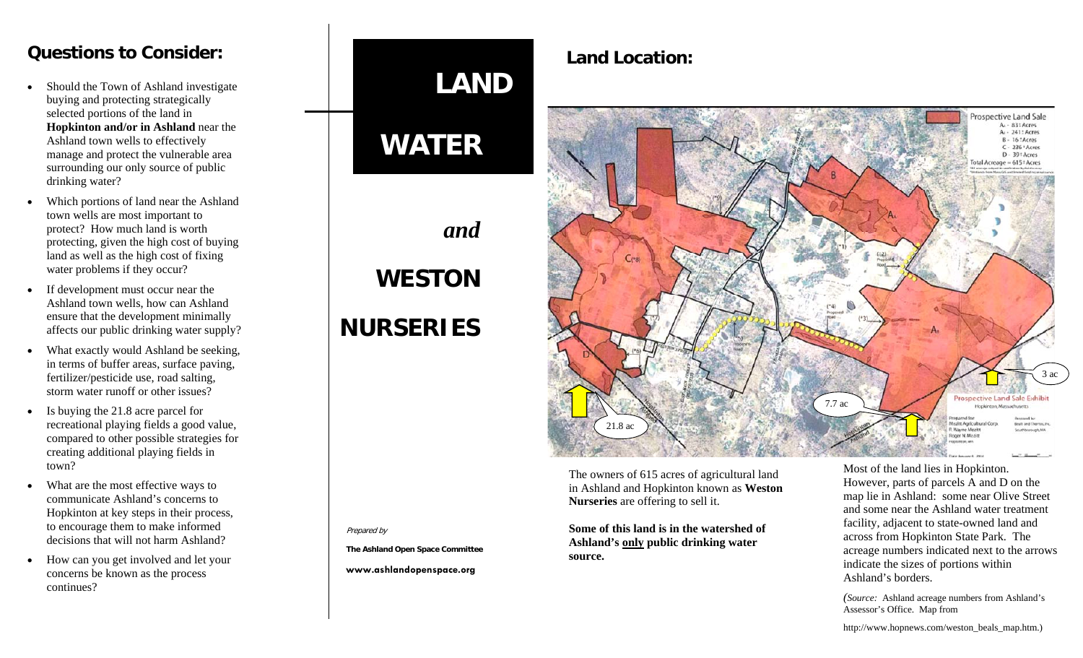#### **Questions to Consider:**

- Should the Town of Ashland investigate buying and protecting strategically selected portions of the land in **Hopkinton and/or in Ashland** near the Ashland town wells to effectively manage and protect the vulnerable area surrounding our only source of public drinking water?
- Which portions of land near the Ashland town wells are most important to protect? How much land is worth protecting, given the high cost of buying land as well as the high cost of fixing water problems if they occur?
- If development must occur near the Ashland town wells, how can Ashland ensure that the development minimally affects our public drinking water supply?
- What exactly would Ashland be seeking, in terms of buffer areas, surface paving, fertilizer/pesticide use, road salting, storm water runoff or other issues?
- Is buying the 21.8 acre parcel for recreational playing fields a good value, compared to other possible strategies for creating additional playing fields in town?
- What are the most effective ways to communicate Ashland's concerns to Hopkinton at key steps in their process, to encourage them to make informed decisions that will not harm Ashland?
- How can you get involved and let your concerns be known as the process continues?

# **LAND**

### **WATER**

## *and*  **WESTON NURSERIES**

Prepared by

**The Ashland Open Space Committee** 

**www.ashlandopenspace.org** 

 **Land Location:** 



The owners of 615 acres of agricultural land in Ashland and Hopkinton known as **Weston Nurseries** are offering to sell it.

**Some of this land is in the watershed of Ashland's only public drinking water source.** 

Most of the land lies in Hopkinton. However, parts of parcels A and D on the map lie in Ashland: some near Olive Street and some near the Ashland water treatment facility, adjacent to state-owned land and across from Hopkinton State Park. The acreage numbers indicated next to the arrows indicate the sizes of portions within Ashland's borders.

*(Source:* Ashland acreage numbers from Ashland's Assessor's Office. Map from

http://www.hopnews.com/weston\_beals\_map.htm.)